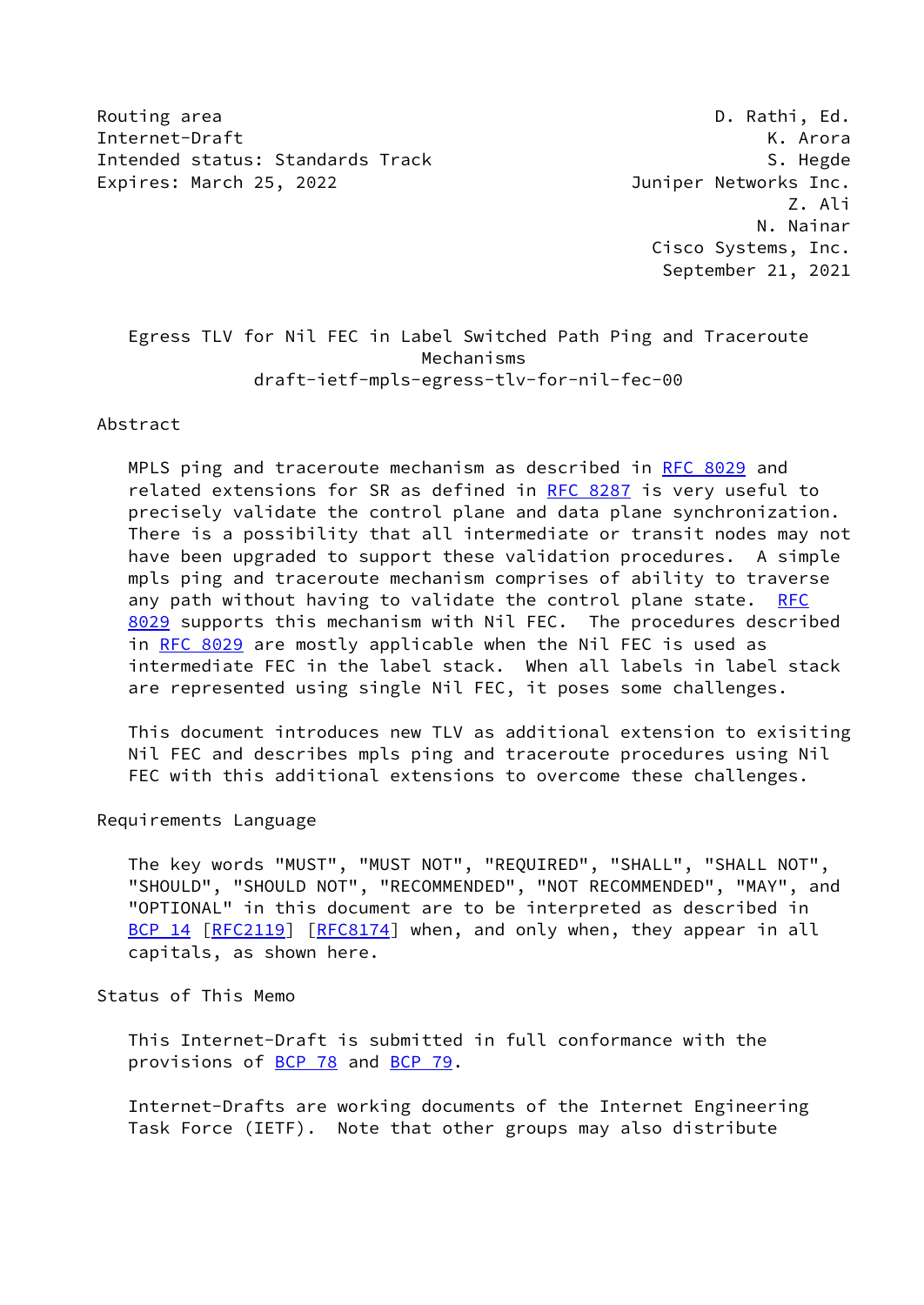Routing area **D. Rathi, Ed.** 2008, 2008, 2008, 2008, 2008, 2008, 2008, 2008, 2008, 2008, 2008, 2008, 2008, 2008, 2008, 2008, 2008, 2008, 2008, 2008, 2008, 2008, 2008, 2008, 2008, 2008, 2008, 2008, 2008, 2008, 2008, 2008, 2 Internet-Draft K. Arora Intended status: Standards Track S. Hegde S. Hegde Expires: March 25, 2022 **Souther State Control** Duniper Networks Inc.

 Z. Ali N. Nainar Cisco Systems, Inc. September 21, 2021

# Egress TLV for Nil FEC in Label Switched Path Ping and Traceroute Mechanisms draft-ietf-mpls-egress-tlv-for-nil-fec-00

Abstract

 MPLS ping and traceroute mechanism as described in [RFC 8029](https://datatracker.ietf.org/doc/pdf/rfc8029) and related extensions for SR as defined in [RFC 8287](https://datatracker.ietf.org/doc/pdf/rfc8287) is very useful to precisely validate the control plane and data plane synchronization. There is a possibility that all intermediate or transit nodes may not have been upgraded to support these validation procedures. A simple mpls ping and traceroute mechanism comprises of ability to traverse any path without having to validate the control plane state. [RFC](https://datatracker.ietf.org/doc/pdf/rfc8029) [8029](https://datatracker.ietf.org/doc/pdf/rfc8029) supports this mechanism with Nil FEC. The procedures described in [RFC 8029](https://datatracker.ietf.org/doc/pdf/rfc8029) are mostly applicable when the Nil FEC is used as intermediate FEC in the label stack. When all labels in label stack are represented using single Nil FEC, it poses some challenges.

 This document introduces new TLV as additional extension to exisiting Nil FEC and describes mpls ping and traceroute procedures using Nil FEC with this additional extensions to overcome these challenges.

Requirements Language

 The key words "MUST", "MUST NOT", "REQUIRED", "SHALL", "SHALL NOT", "SHOULD", "SHOULD NOT", "RECOMMENDED", "NOT RECOMMENDED", "MAY", and "OPTIONAL" in this document are to be interpreted as described in [BCP 14](https://datatracker.ietf.org/doc/pdf/bcp14) [\[RFC2119](https://datatracker.ietf.org/doc/pdf/rfc2119)] [\[RFC8174](https://datatracker.ietf.org/doc/pdf/rfc8174)] when, and only when, they appear in all capitals, as shown here.

Status of This Memo

 This Internet-Draft is submitted in full conformance with the provisions of [BCP 78](https://datatracker.ietf.org/doc/pdf/bcp78) and [BCP 79](https://datatracker.ietf.org/doc/pdf/bcp79).

 Internet-Drafts are working documents of the Internet Engineering Task Force (IETF). Note that other groups may also distribute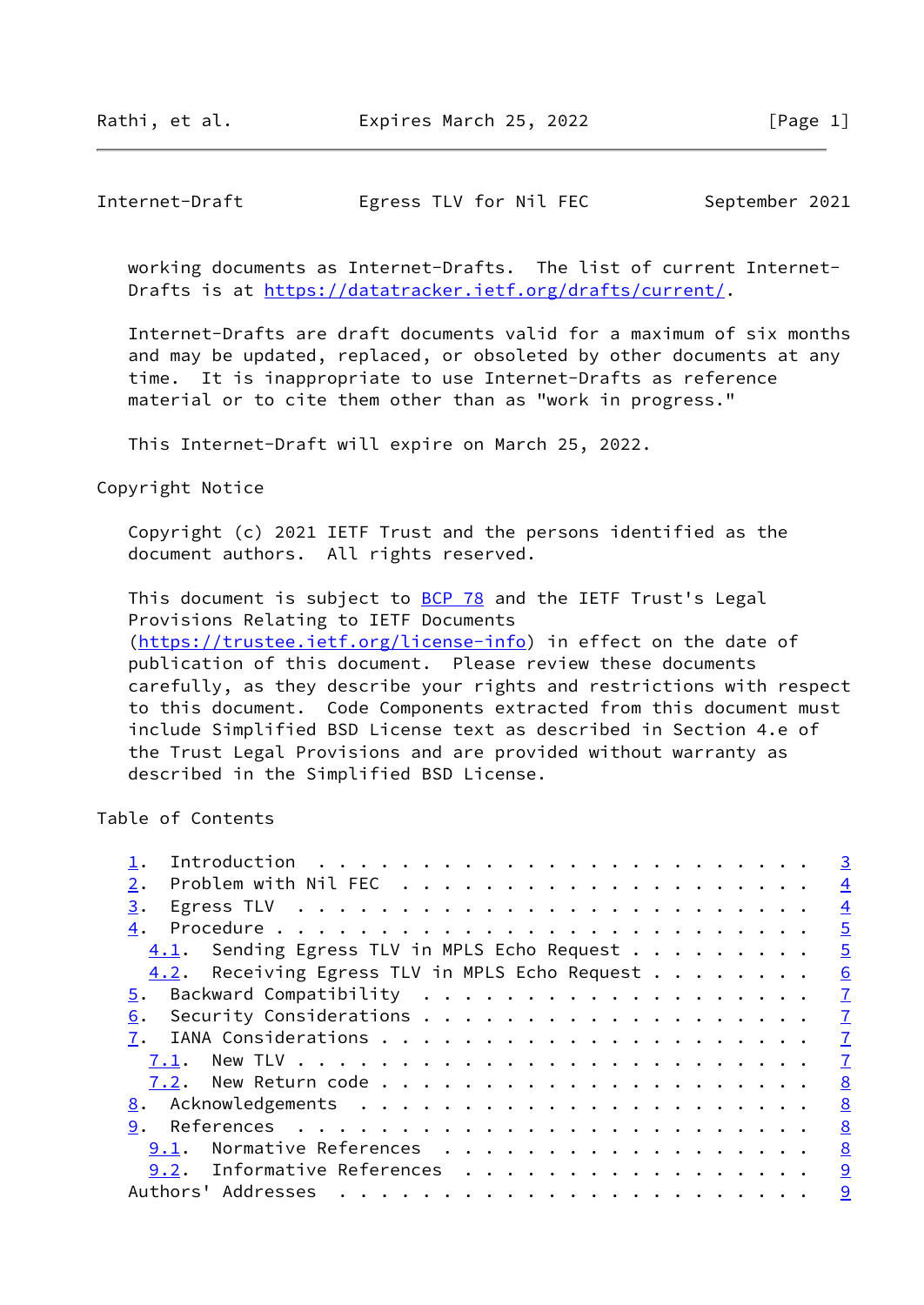Rathi, et al. Expires March 25, 2022 [Page 1]

## Internet-Draft Egress TLV for Nil FEC September 2021

 working documents as Internet-Drafts. The list of current Internet- Drafts is at<https://datatracker.ietf.org/drafts/current/>.

 Internet-Drafts are draft documents valid for a maximum of six months and may be updated, replaced, or obsoleted by other documents at any time. It is inappropriate to use Internet-Drafts as reference material or to cite them other than as "work in progress."

This Internet-Draft will expire on March 25, 2022.

Copyright Notice

 Copyright (c) 2021 IETF Trust and the persons identified as the document authors. All rights reserved.

This document is subject to **[BCP 78](https://datatracker.ietf.org/doc/pdf/bcp78)** and the IETF Trust's Legal Provisions Relating to IETF Documents [\(https://trustee.ietf.org/license-info](https://trustee.ietf.org/license-info)) in effect on the date of publication of this document. Please review these documents carefully, as they describe your rights and restrictions with respect to this document. Code Components extracted from this document must include Simplified BSD License text as described in Section 4.e of

 the Trust Legal Provisions and are provided without warranty as described in the Simplified BSD License.

Table of Contents

|                                                | $\overline{3}$ |
|------------------------------------------------|----------------|
| 2.                                             | $\overline{4}$ |
| 3.                                             | $\overline{4}$ |
| 4.                                             | $\overline{5}$ |
| 4.1. Sending Egress TLV in MPLS Echo Request   | $\overline{5}$ |
| 4.2. Receiving Egress TLV in MPLS Echo Request | 6              |
| 5.                                             | $\mathbf I$    |
| 6.                                             | $\mathbf{Z}$   |
|                                                | $\mathbf{I}$   |
| 7.1.                                           | $\mathbf{I}$   |
|                                                | 8              |
|                                                | 8              |
| 9.                                             | 8              |
| Normative References<br>9.1.                   | 8              |
| Informative References<br>9.2.                 | 9              |
| Authors' Addresses                             | 9              |
|                                                |                |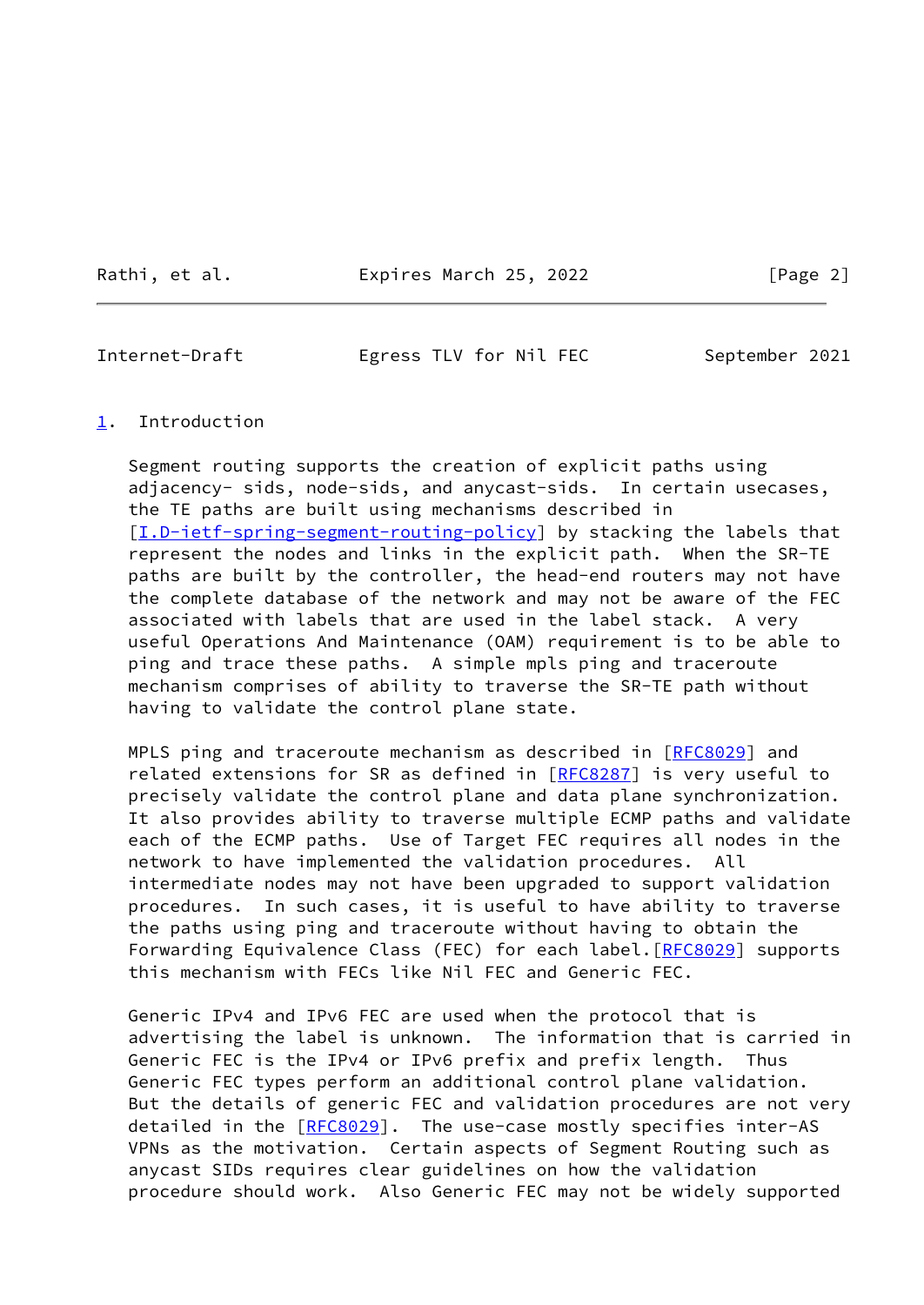Rathi, et al. **Expires March 25, 2022** [Page 2]

<span id="page-2-1"></span>Internet-Draft Egress TLV for Nil FEC September 2021

### <span id="page-2-0"></span>[1](#page-2-0). Introduction

 Segment routing supports the creation of explicit paths using adjacency- sids, node-sids, and anycast-sids. In certain usecases, the TE paths are built using mechanisms described in [\[I.D-ietf-spring-segment-routing-policy](#page-8-4)] by stacking the labels that represent the nodes and links in the explicit path. When the SR-TE paths are built by the controller, the head-end routers may not have the complete database of the network and may not be aware of the FEC associated with labels that are used in the label stack. A very useful Operations And Maintenance (OAM) requirement is to be able to ping and trace these paths. A simple mpls ping and traceroute mechanism comprises of ability to traverse the SR-TE path without having to validate the control plane state.

MPLS ping and traceroute mechanism as described in [[RFC8029\]](https://datatracker.ietf.org/doc/pdf/rfc8029) and related extensions for SR as defined in [\[RFC8287](https://datatracker.ietf.org/doc/pdf/rfc8287)] is very useful to precisely validate the control plane and data plane synchronization. It also provides ability to traverse multiple ECMP paths and validate each of the ECMP paths. Use of Target FEC requires all nodes in the network to have implemented the validation procedures. All intermediate nodes may not have been upgraded to support validation procedures. In such cases, it is useful to have ability to traverse the paths using ping and traceroute without having to obtain the Forwarding Equivalence Class (FEC) for each label. [[RFC8029](https://datatracker.ietf.org/doc/pdf/rfc8029)] supports this mechanism with FECs like Nil FEC and Generic FEC.

 Generic IPv4 and IPv6 FEC are used when the protocol that is advertising the label is unknown. The information that is carried in Generic FEC is the IPv4 or IPv6 prefix and prefix length. Thus Generic FEC types perform an additional control plane validation. But the details of generic FEC and validation procedures are not very detailed in the [\[RFC8029](https://datatracker.ietf.org/doc/pdf/rfc8029)]. The use-case mostly specifies inter-AS VPNs as the motivation. Certain aspects of Segment Routing such as anycast SIDs requires clear guidelines on how the validation procedure should work. Also Generic FEC may not be widely supported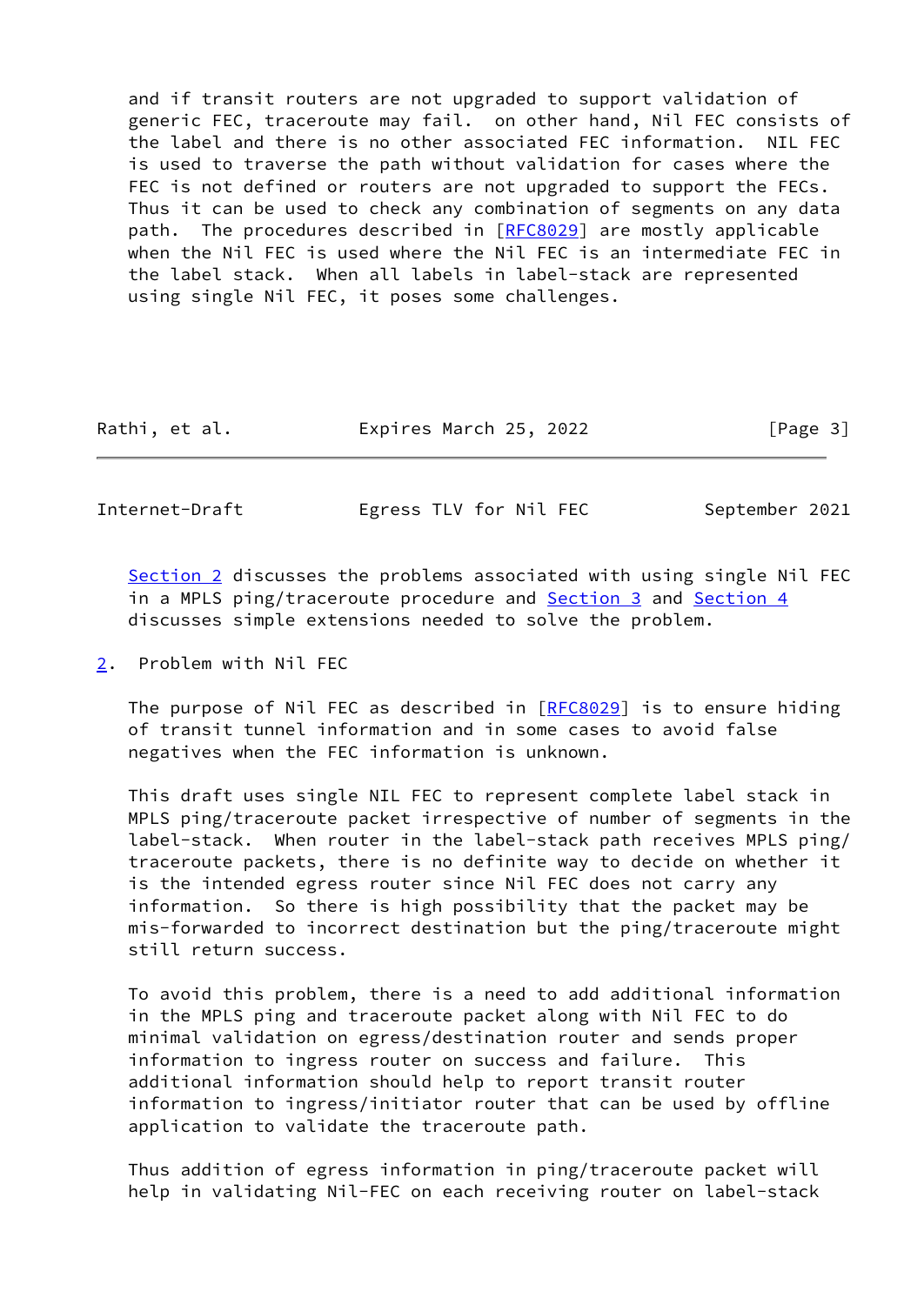and if transit routers are not upgraded to support validation of generic FEC, traceroute may fail. on other hand, Nil FEC consists of the label and there is no other associated FEC information. NIL FEC is used to traverse the path without validation for cases where the FEC is not defined or routers are not upgraded to support the FECs. Thus it can be used to check any combination of segments on any data path. The procedures described in [[RFC8029\]](https://datatracker.ietf.org/doc/pdf/rfc8029) are mostly applicable when the Nil FEC is used where the Nil FEC is an intermediate FEC in the label stack. When all labels in label-stack are represented using single Nil FEC, it poses some challenges.

| Expires March 25, 2022<br>Rathi, et al. |  |  |  |  | [Page 3] |
|-----------------------------------------|--|--|--|--|----------|
|-----------------------------------------|--|--|--|--|----------|

<span id="page-3-1"></span>Internet-Draft Egress TLV for Nil FEC September 2021

[Section 2](#page-3-0) discusses the problems associated with using single Nil FEC in a MPLS ping/traceroute procedure and [Section 3](#page-4-0) and [Section 4](#page-4-1) discusses simple extensions needed to solve the problem.

<span id="page-3-0"></span>[2](#page-3-0). Problem with Nil FEC

 The purpose of Nil FEC as described in [\[RFC8029](https://datatracker.ietf.org/doc/pdf/rfc8029)] is to ensure hiding of transit tunnel information and in some cases to avoid false negatives when the FEC information is unknown.

 This draft uses single NIL FEC to represent complete label stack in MPLS ping/traceroute packet irrespective of number of segments in the label-stack. When router in the label-stack path receives MPLS ping/ traceroute packets, there is no definite way to decide on whether it is the intended egress router since Nil FEC does not carry any information. So there is high possibility that the packet may be mis-forwarded to incorrect destination but the ping/traceroute might still return success.

 To avoid this problem, there is a need to add additional information in the MPLS ping and traceroute packet along with Nil FEC to do minimal validation on egress/destination router and sends proper information to ingress router on success and failure. This additional information should help to report transit router information to ingress/initiator router that can be used by offline application to validate the traceroute path.

 Thus addition of egress information in ping/traceroute packet will help in validating Nil-FEC on each receiving router on label-stack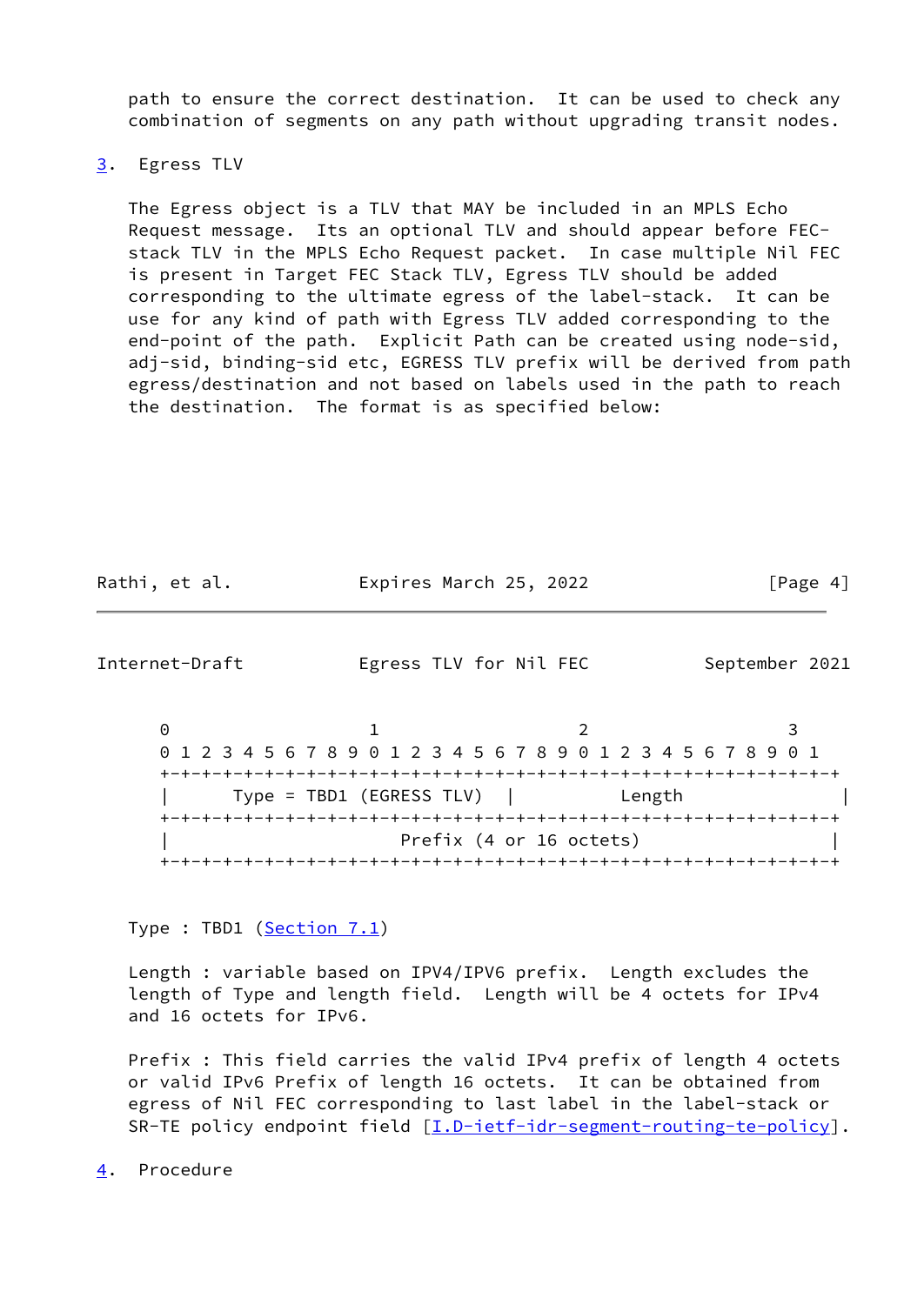path to ensure the correct destination. It can be used to check any combination of segments on any path without upgrading transit nodes.

### <span id="page-4-0"></span>[3](#page-4-0). Egress TLV

 The Egress object is a TLV that MAY be included in an MPLS Echo Request message. Its an optional TLV and should appear before FEC stack TLV in the MPLS Echo Request packet. In case multiple Nil FEC is present in Target FEC Stack TLV, Egress TLV should be added corresponding to the ultimate egress of the label-stack. It can be use for any kind of path with Egress TLV added corresponding to the end-point of the path. Explicit Path can be created using node-sid, adj-sid, binding-sid etc, EGRESS TLV prefix will be derived from path egress/destination and not based on labels used in the path to reach the destination. The format is as specified below:

| Rathi, et al. | Expires March 25, 2022 | [Page 4] |
|---------------|------------------------|----------|
|               |                        |          |

<span id="page-4-2"></span>Internet-Draft Egress TLV for Nil FEC September 2021

0 1 2 3 0 1 2 3 4 5 6 7 8 9 0 1 2 3 4 5 6 7 8 9 0 1 2 3 4 5 6 7 8 9 0 1 +-+-+-+-+-+-+-+-+-+-+-+-+-+-+-+-+-+-+-+-+-+-+-+-+-+-+-+-+-+-+-+-+ | Type = TBD1 (EGRESS TLV) | Length | +-+-+-+-+-+-+-+-+-+-+-+-+-+-+-+-+-+-+-+-+-+-+-+-+-+-+-+-+-+-+-+-+ Prefix (4 or 16 octets) +-+-+-+-+-+-+-+-+-+-+-+-+-+-+-+-+-+-+-+-+-+-+-+-+-+-+-+-+-+-+-+-+

Type : TBD1 [\(Section 7.1](#page-7-3))

 Length : variable based on IPV4/IPV6 prefix. Length excludes the length of Type and length field. Length will be 4 octets for IPv4 and 16 octets for IPv6.

 Prefix : This field carries the valid IPv4 prefix of length 4 octets or valid IPv6 Prefix of length 16 octets. It can be obtained from egress of Nil FEC corresponding to last label in the label-stack or SR-TE policy endpoint field [\[I.D-ietf-idr-segment-routing-te-policy](#page-5-2)].

<span id="page-4-1"></span>[4](#page-4-1). Procedure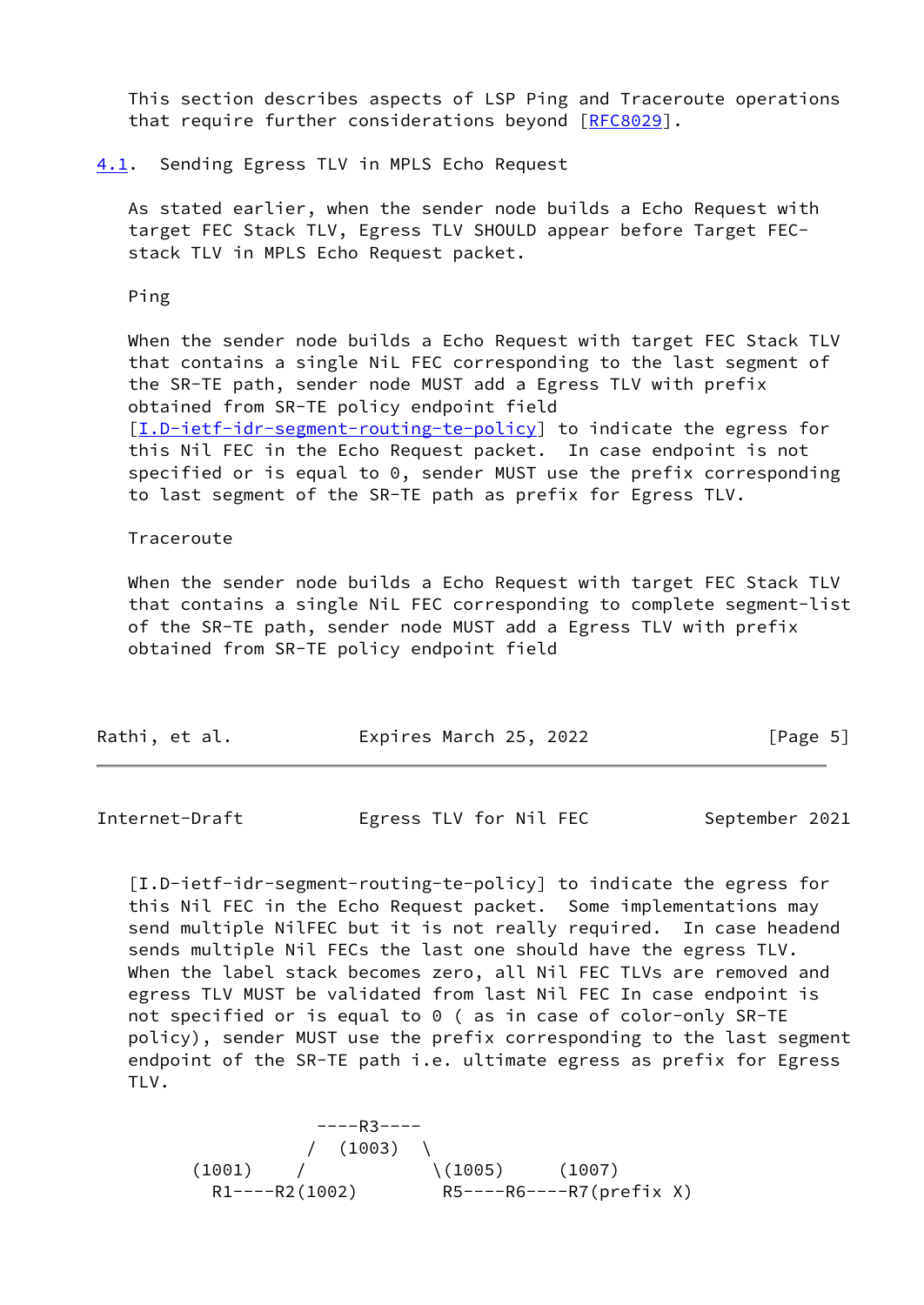This section describes aspects of LSP Ping and Traceroute operations that require further considerations beyond [[RFC8029\]](https://datatracker.ietf.org/doc/pdf/rfc8029).

#### <span id="page-5-0"></span>[4.1](#page-5-0). Sending Egress TLV in MPLS Echo Request

 As stated earlier, when the sender node builds a Echo Request with target FEC Stack TLV, Egress TLV SHOULD appear before Target FEC stack TLV in MPLS Echo Request packet.

Ping

 When the sender node builds a Echo Request with target FEC Stack TLV that contains a single NiL FEC corresponding to the last segment of the SR-TE path, sender node MUST add a Egress TLV with prefix obtained from SR-TE policy endpoint field [\[I.D-ietf-idr-segment-routing-te-policy](#page-5-2)] to indicate the egress for this Nil FEC in the Echo Request packet. In case endpoint is not specified or is equal to 0, sender MUST use the prefix corresponding to last segment of the SR-TE path as prefix for Egress TLV.

#### Traceroute

 When the sender node builds a Echo Request with target FEC Stack TLV that contains a single NiL FEC corresponding to complete segment-list of the SR-TE path, sender node MUST add a Egress TLV with prefix obtained from SR-TE policy endpoint field

| Rathi, et al. | Expires March 25, 2022 | [Page 5] |
|---------------|------------------------|----------|
|               |                        |          |

<span id="page-5-1"></span>Internet-Draft Egress TLV for Nil FEC September 2021

<span id="page-5-2"></span> [I.D-ietf-idr-segment-routing-te-policy] to indicate the egress for this Nil FEC in the Echo Request packet. Some implementations may send multiple NilFEC but it is not really required. In case headend sends multiple Nil FECs the last one should have the egress TLV. When the label stack becomes zero, all Nil FEC TLVs are removed and egress TLV MUST be validated from last Nil FEC In case endpoint is not specified or is equal to 0 ( as in case of color-only SR-TE policy), sender MUST use the prefix corresponding to the last segment endpoint of the SR-TE path i.e. ultimate egress as prefix for Egress TLV.

 ----R3----  $/ (1003)$  $(1001)$  /  $(1005)$   $(1007)$ R1----R2(1002) R5----R6----R7(prefix X)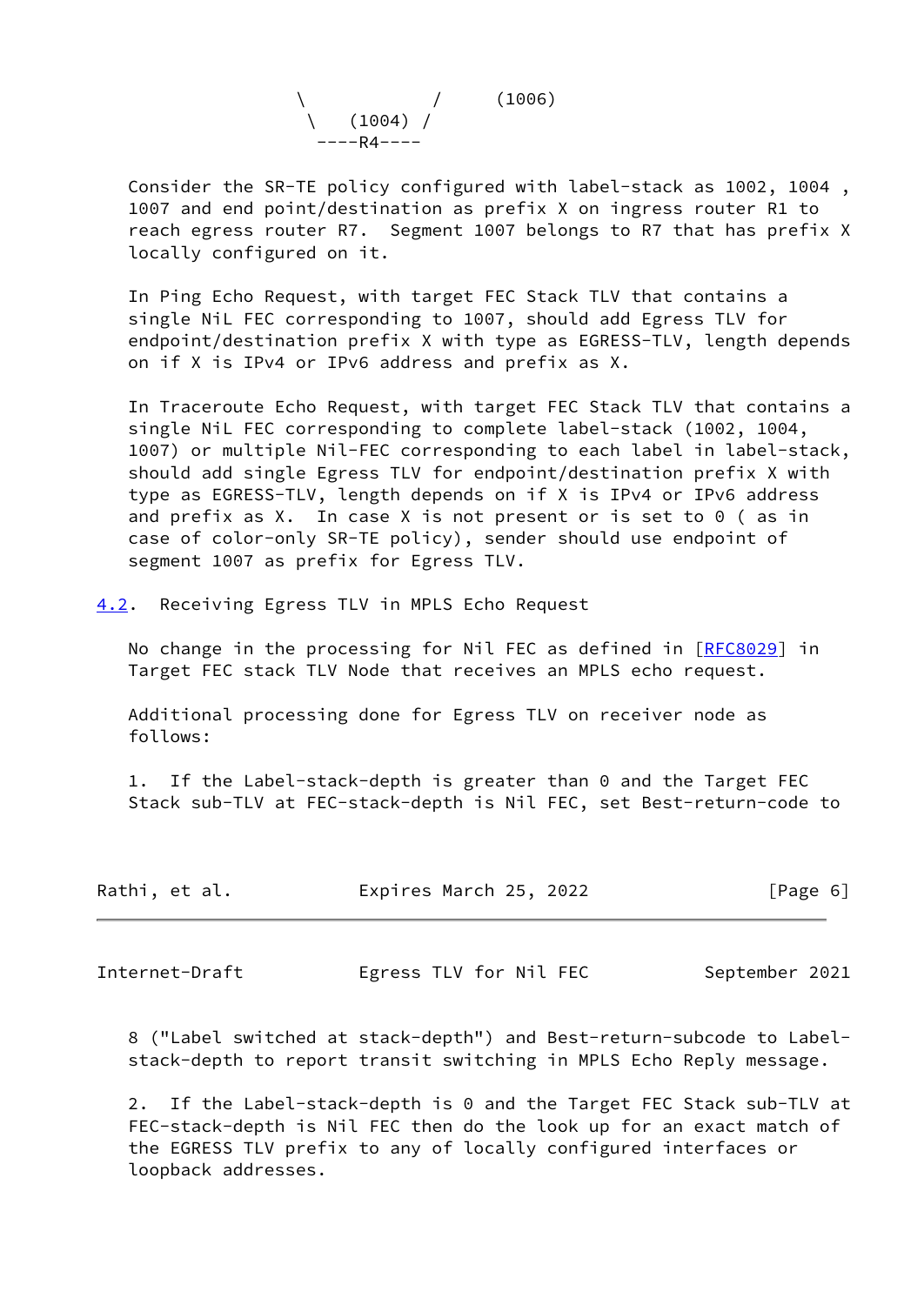

 Consider the SR-TE policy configured with label-stack as 1002, 1004 , 1007 and end point/destination as prefix X on ingress router R1 to reach egress router R7. Segment 1007 belongs to R7 that has prefix X locally configured on it.

 In Ping Echo Request, with target FEC Stack TLV that contains a single NiL FEC corresponding to 1007, should add Egress TLV for endpoint/destination prefix X with type as EGRESS-TLV, length depends on if X is IPv4 or IPv6 address and prefix as X.

 In Traceroute Echo Request, with target FEC Stack TLV that contains a single NiL FEC corresponding to complete label-stack (1002, 1004, 1007) or multiple Nil-FEC corresponding to each label in label-stack, should add single Egress TLV for endpoint/destination prefix X with type as EGRESS-TLV, length depends on if X is IPv4 or IPv6 address and prefix as X. In case X is not present or is set to 0 ( as in case of color-only SR-TE policy), sender should use endpoint of segment 1007 as prefix for Egress TLV.

<span id="page-6-0"></span>[4.2](#page-6-0). Receiving Egress TLV in MPLS Echo Request

No change in the processing for Nil FEC as defined in [[RFC8029](https://datatracker.ietf.org/doc/pdf/rfc8029)] in Target FEC stack TLV Node that receives an MPLS echo request.

 Additional processing done for Egress TLV on receiver node as follows:

 1. If the Label-stack-depth is greater than 0 and the Target FEC Stack sub-TLV at FEC-stack-depth is Nil FEC, set Best-return-code to

| Rathi, et al. | Expires March 25, 2022 | [Page 6] |
|---------------|------------------------|----------|
|               |                        |          |

<span id="page-6-1"></span>Internet-Draft Egress TLV for Nil FEC September 2021

 8 ("Label switched at stack-depth") and Best-return-subcode to Label stack-depth to report transit switching in MPLS Echo Reply message.

 2. If the Label-stack-depth is 0 and the Target FEC Stack sub-TLV at FEC-stack-depth is Nil FEC then do the look up for an exact match of the EGRESS TLV prefix to any of locally configured interfaces or loopback addresses.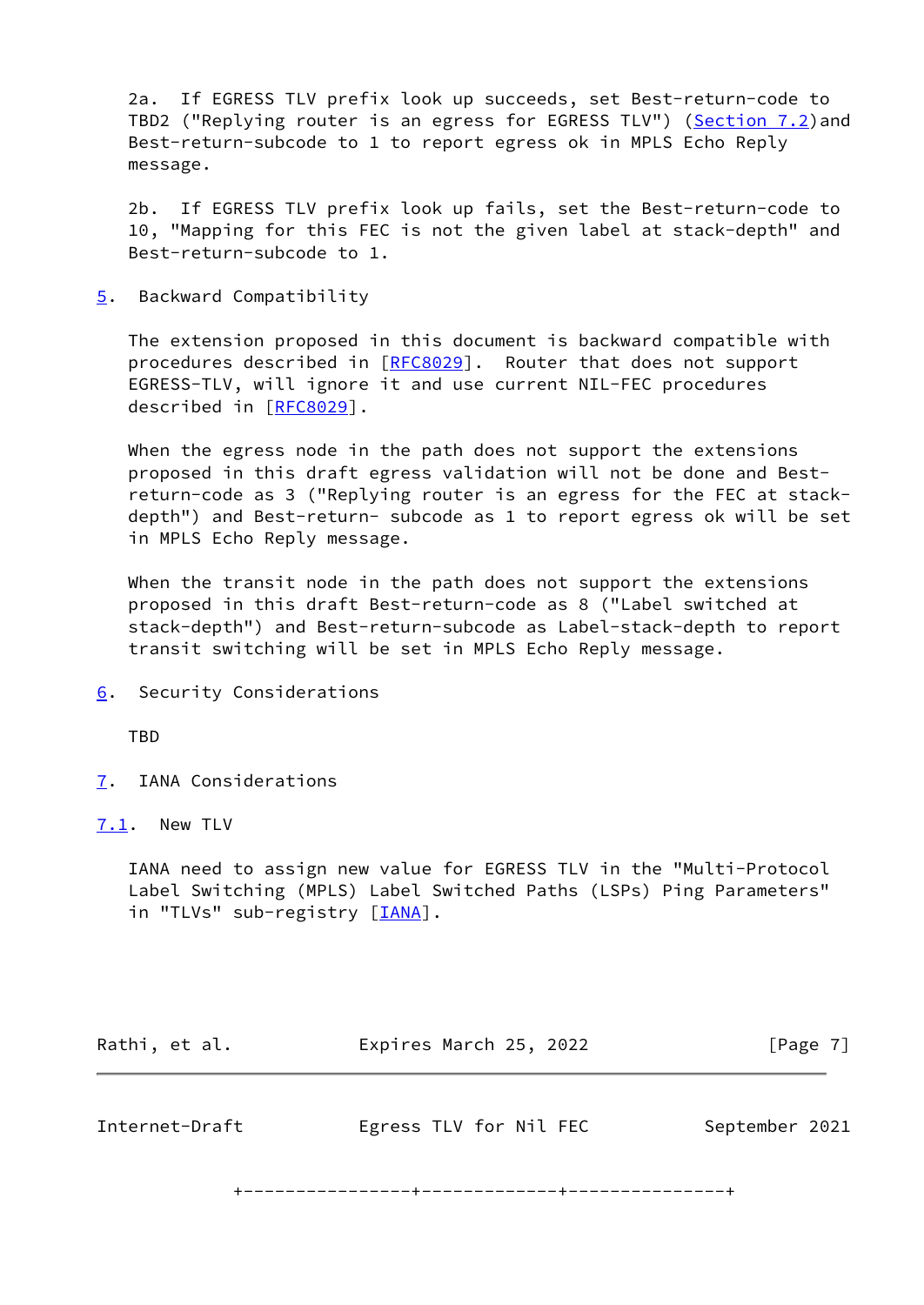2a. If EGRESS TLV prefix look up succeeds, set Best-return-code to TBD2 ("Replying router is an egress for EGRESS TLV") [\(Section 7.2](#page-8-0)) and Best-return-subcode to 1 to report egress ok in MPLS Echo Reply message.

 2b. If EGRESS TLV prefix look up fails, set the Best-return-code to 10, "Mapping for this FEC is not the given label at stack-depth" and Best-return-subcode to 1.

<span id="page-7-0"></span>[5](#page-7-0). Backward Compatibility

 The extension proposed in this document is backward compatible with procedures described in [\[RFC8029](https://datatracker.ietf.org/doc/pdf/rfc8029)]. Router that does not support EGRESS-TLV, will ignore it and use current NIL-FEC procedures described in [\[RFC8029](https://datatracker.ietf.org/doc/pdf/rfc8029)].

 When the egress node in the path does not support the extensions proposed in this draft egress validation will not be done and Best return-code as 3 ("Replying router is an egress for the FEC at stack depth") and Best-return- subcode as 1 to report egress ok will be set in MPLS Echo Reply message.

 When the transit node in the path does not support the extensions proposed in this draft Best-return-code as 8 ("Label switched at stack-depth") and Best-return-subcode as Label-stack-depth to report transit switching will be set in MPLS Echo Reply message.

<span id="page-7-1"></span>[6](#page-7-1). Security Considerations

**TBD** 

<span id="page-7-2"></span>[7](#page-7-2). IANA Considerations

<span id="page-7-3"></span>[7.1](#page-7-3). New TLV

 IANA need to assign new value for EGRESS TLV in the "Multi-Protocol Label Switching (MPLS) Label Switched Paths (LSPs) Ping Parameters" in "TLVs" sub-registry [*IANA*].

<span id="page-7-4"></span>

|                | [Page 7]               |  |
|----------------|------------------------|--|
| September 2021 |                        |  |
|                | Egress TLV for Nil FEC |  |

+----------------+-------------+---------------+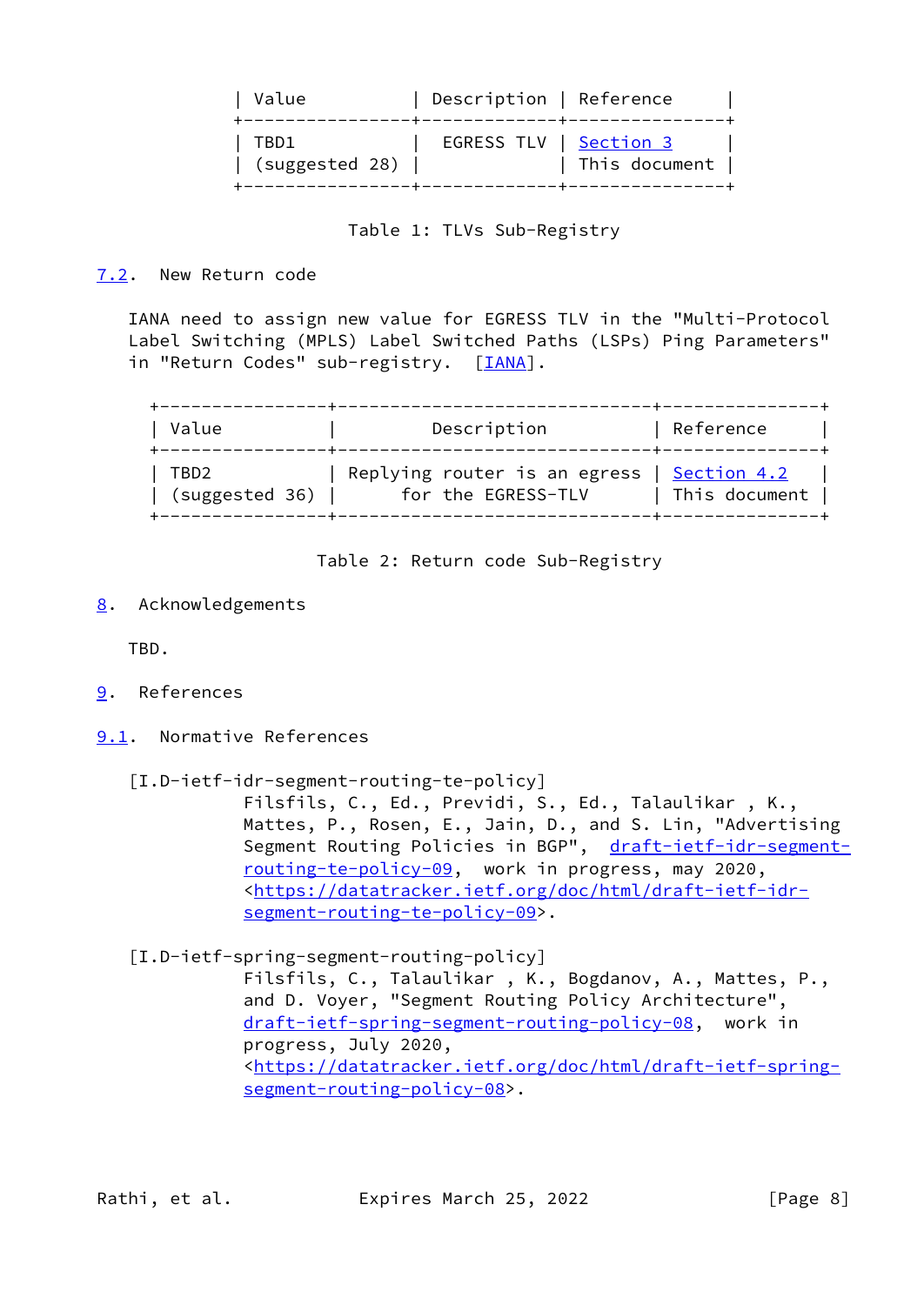| Value                  | Description   Reference |               |
|------------------------|-------------------------|---------------|
| TBD1<br>(suggested 28) | EGRESS TLV   Section 3  | This document |

# Table 1: TLVs Sub-Registry

## <span id="page-8-0"></span>[7.2](#page-8-0). New Return code

 IANA need to assign new value for EGRESS TLV in the "Multi-Protocol Label Switching (MPLS) Label Switched Paths (LSPs) Ping Parameters" in "Return Codes" sub-registry. [\[IANA](#page-9-2)].

| Value          | Description                  | Reference           |
|----------------|------------------------------|---------------------|
| TBD2           | Replying router is an egress | $\vert$ Section 4.2 |
| (suggested 36) | for the EGRESS-TLV           | This document       |

Table 2: Return code Sub-Registry

<span id="page-8-1"></span>[8](#page-8-1). Acknowledgements

TBD.

- <span id="page-8-2"></span>[9](#page-8-2). References
- <span id="page-8-3"></span>[9.1](#page-8-3). Normative References
	- [I.D-ietf-idr-segment-routing-te-policy]

 Filsfils, C., Ed., Previdi, S., Ed., Talaulikar , K., Mattes, P., Rosen, E., Jain, D., and S. Lin, "Advertising Segment Routing Policies in BGP", [draft-ietf-idr-segment](https://datatracker.ietf.org/doc/pdf/draft-ietf-idr-segment-routing-te-policy-09) [routing-te-policy-09,](https://datatracker.ietf.org/doc/pdf/draft-ietf-idr-segment-routing-te-policy-09) work in progress, may 2020, <[https://datatracker.ietf.org/doc/html/draft-ietf-idr](https://datatracker.ietf.org/doc/html/draft-ietf-idr-segment-routing-te-policy-09) [segment-routing-te-policy-09>](https://datatracker.ietf.org/doc/html/draft-ietf-idr-segment-routing-te-policy-09).

<span id="page-8-4"></span> [I.D-ietf-spring-segment-routing-policy] Filsfils, C., Talaulikar , K., Bogdanov, A., Mattes, P., and D. Voyer, "Segment Routing Policy Architecture", [draft-ietf-spring-segment-routing-policy-08](https://datatracker.ietf.org/doc/pdf/draft-ietf-spring-segment-routing-policy-08), work in progress, July 2020, <[https://datatracker.ietf.org/doc/html/draft-ietf-spring](https://datatracker.ietf.org/doc/html/draft-ietf-spring-segment-routing-policy-08) [segment-routing-policy-08>](https://datatracker.ietf.org/doc/html/draft-ietf-spring-segment-routing-policy-08).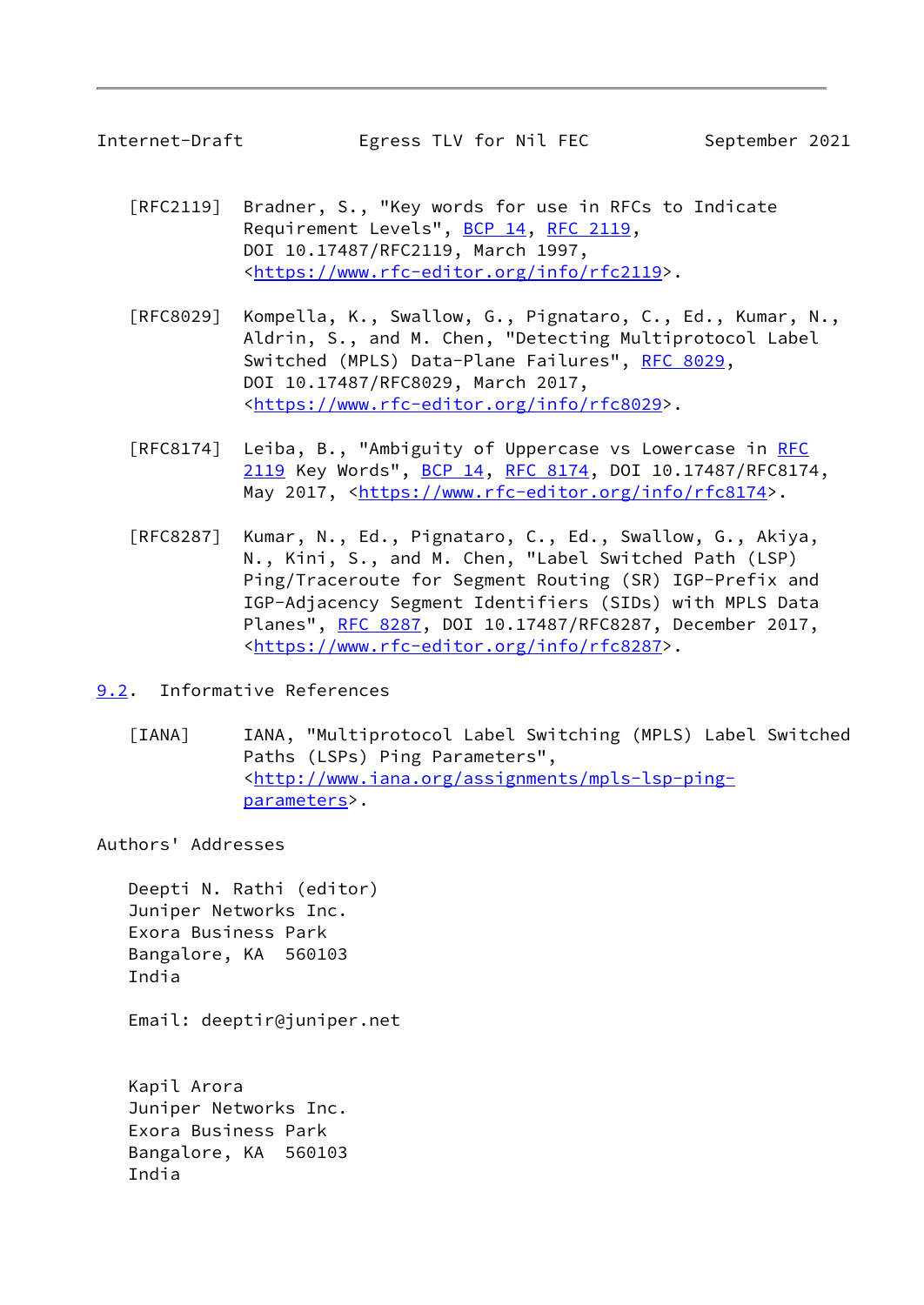<span id="page-9-1"></span>

- [RFC2119] Bradner, S., "Key words for use in RFCs to Indicate Requirement Levels", [BCP 14](https://datatracker.ietf.org/doc/pdf/bcp14), [RFC 2119](https://datatracker.ietf.org/doc/pdf/rfc2119), DOI 10.17487/RFC2119, March 1997, <[https://www.rfc-editor.org/info/rfc2119>](https://www.rfc-editor.org/info/rfc2119).
- [RFC8029] Kompella, K., Swallow, G., Pignataro, C., Ed., Kumar, N., Aldrin, S., and M. Chen, "Detecting Multiprotocol Label Switched (MPLS) Data-Plane Failures", [RFC 8029](https://datatracker.ietf.org/doc/pdf/rfc8029), DOI 10.17487/RFC8029, March 2017, <[https://www.rfc-editor.org/info/rfc8029>](https://www.rfc-editor.org/info/rfc8029).
- [RFC8174] Leiba, B., "Ambiguity of Uppercase vs Lowercase in [RFC](https://datatracker.ietf.org/doc/pdf/rfc2119) [2119](https://datatracker.ietf.org/doc/pdf/rfc2119) Key Words", [BCP 14](https://datatracker.ietf.org/doc/pdf/bcp14), [RFC 8174,](https://datatracker.ietf.org/doc/pdf/rfc8174) DOI 10.17487/RFC8174, May 2017, [<https://www.rfc-editor.org/info/rfc8174](https://www.rfc-editor.org/info/rfc8174)>.
- [RFC8287] Kumar, N., Ed., Pignataro, C., Ed., Swallow, G., Akiya, N., Kini, S., and M. Chen, "Label Switched Path (LSP) Ping/Traceroute for Segment Routing (SR) IGP-Prefix and IGP-Adjacency Segment Identifiers (SIDs) with MPLS Data Planes", [RFC 8287,](https://datatracker.ietf.org/doc/pdf/rfc8287) DOI 10.17487/RFC8287, December 2017, <[https://www.rfc-editor.org/info/rfc8287>](https://www.rfc-editor.org/info/rfc8287).
- <span id="page-9-2"></span><span id="page-9-0"></span>[9.2](#page-9-0). Informative References
	- [IANA] IANA, "Multiprotocol Label Switching (MPLS) Label Switched Paths (LSPs) Ping Parameters", <[http://www.iana.org/assignments/mpls-lsp-ping](http://www.iana.org/assignments/mpls-lsp-ping-parameters) [parameters>](http://www.iana.org/assignments/mpls-lsp-ping-parameters).

Authors' Addresses

 Deepti N. Rathi (editor) Juniper Networks Inc. Exora Business Park Bangalore, KA 560103 India

Email: deeptir@juniper.net

 Kapil Arora Juniper Networks Inc. Exora Business Park Bangalore, KA 560103 India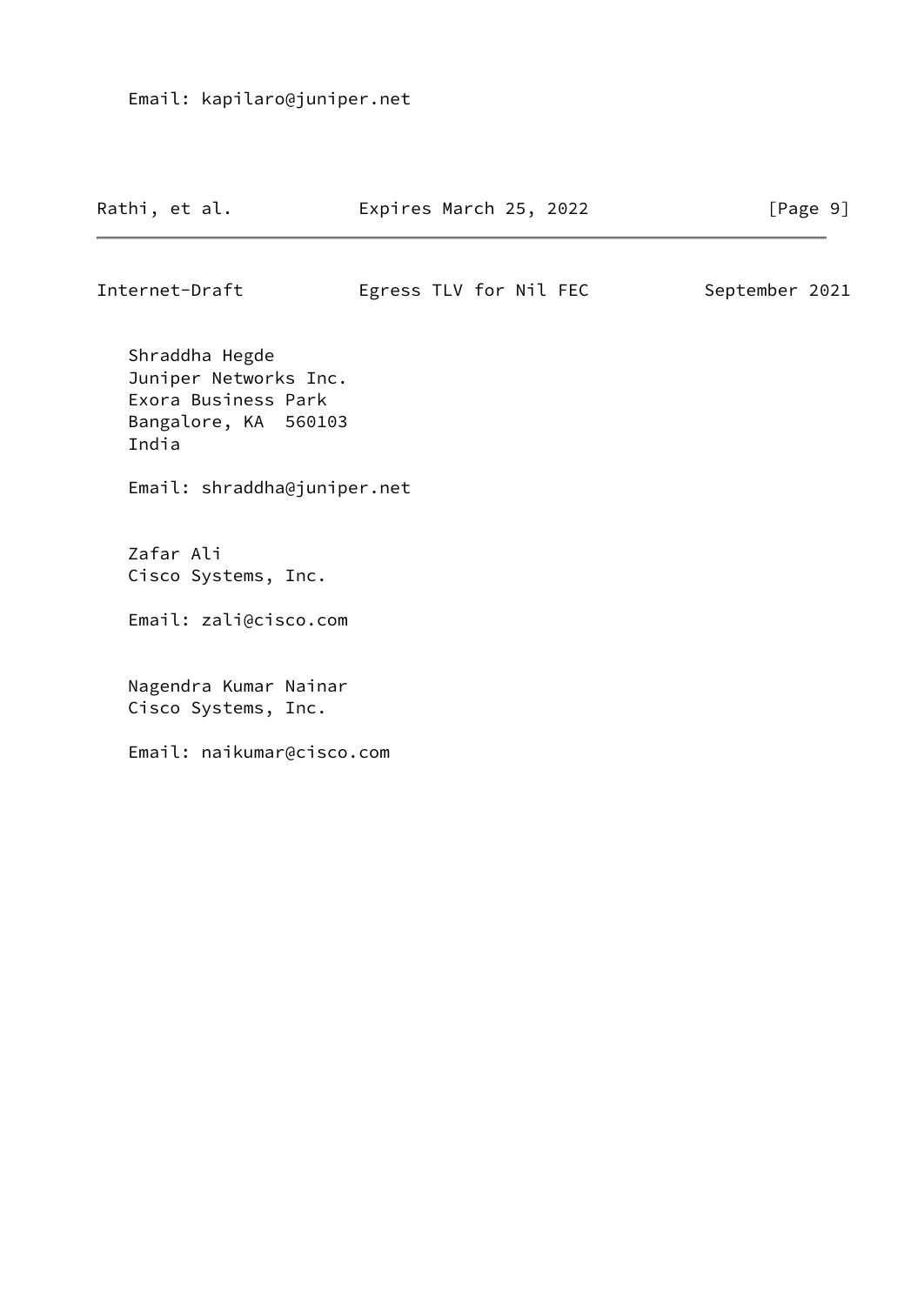| Rathi, et al. | Expires March 25, 2022 | [Page 9] |  |
|---------------|------------------------|----------|--|
|               |                        |          |  |

Internet-Draft Egress TLV for Nil FEC September 2021

 Shraddha Hegde Juniper Networks Inc. Exora Business Park Bangalore, KA 560103 India

Email: shraddha@juniper.net

 Zafar Ali Cisco Systems, Inc.

Email: zali@cisco.com

 Nagendra Kumar Nainar Cisco Systems, Inc.

Email: naikumar@cisco.com